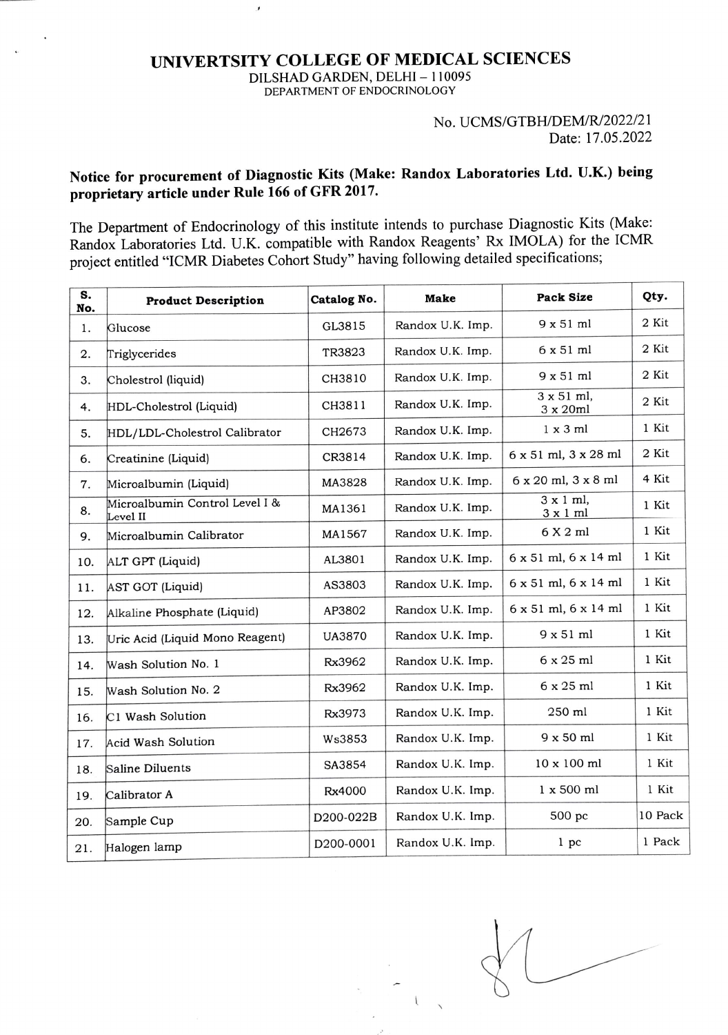## UNIVERTSITY COLLEGE OF MEDICAL SCIENCES

J

DILSHAD GARDEN, DELHI - 110095 DEPARTMENT OF ENDOCRINOLOGY

## No. UCMS/GTBH/DEM/R/2022/21 Date: 17.05.2022

## Notice for procurement of Diagnostic Kits (Make: Randox Laboratories Ltd. U.K.) being proprietary article under Rule 166 of GFR 2017.

The Department of Endocrinology of this institute intends to purchase Diagnostic Kits (Make: Randox Laboratories Ltd. U.K. compatible with Randox Reagents' Rx IMOLA) for the ICMR project entitled "ICMR Diabetes Cohort Study" having following detailed specifications,

| S.<br>No. | <b>Product Description</b>                 | <b>Catalog No.</b> | Make             | <b>Pack Size</b>                  | Qty.    |
|-----------|--------------------------------------------|--------------------|------------------|-----------------------------------|---------|
| 1.        | Glucose                                    | GL3815             | Randox U.K. Imp. | $9 \times 51$ ml                  | 2 Kit   |
| 2.        | Triglycerides                              | TR3823             | Randox U.K. Imp. | $6 \times 51$ ml                  | 2 Kit   |
| 3.        | Cholestrol (liquid)                        | CH3810             | Randox U.K. Imp. | $9x51$ ml                         | 2 Kit   |
| 4.        | HDL-Cholestrol (Liquid)                    | CH3811             | Randox U.K. Imp. | $3 \times 51$ ml,<br>3 x 20ml     | 2 Kit   |
| 5.        | HDL/LDL-Cholestrol Calibrator              | CH2673             | Randox U.K. Imp. | $1 \times 3$ ml                   | 1 Kit   |
| 6.        | Creatinine (Liquid)                        | CR3814             | Randox U.K. Imp. | 6 x 51 ml, 3 x 28 ml              | 2 Kit   |
| 7.        | Microalbumin (Liquid)                      | MA3828             | Randox U.K. Imp. | $6 \times 20$ ml, $3 \times 8$ ml | 4 Kit   |
| 8.        | Microalbumin Control Level I &<br>Level II | MA1361             | Randox U.K. Imp. | $3 \times 1$ ml,<br>3x1ml         | 1 Kit   |
| 9.        | Microalbumin Calibrator                    | MA1567             | Randox U.K. Imp. | 6X2ml                             | 1 Kit   |
| 10.       | ALT GPT (Liquid)                           | AL3801             | Randox U.K. Imp. | 6 x 51 ml, 6 x 14 ml              | 1 Kit   |
| 11.       | AST GOT (Liquid)                           | AS3803             | Randox U.K. Imp. | 6 x 51 ml, 6 x 14 ml              | 1 Kit   |
| 12.       | Alkaline Phosphate (Liquid)                | AP3802             | Randox U.K. Imp. | $6x51$ ml, $6x14$ ml              | 1 Kit   |
| 13.       | Uric Acid (Liquid Mono Reagent)            | <b>UA3870</b>      | Randox U.K. Imp. | $9x51$ ml                         | 1 Kit   |
| 14.       | Wash Solution No. 1                        | Rx3962             | Randox U.K. Imp. | 6 x 25 ml                         | 1 Kit   |
| 15.       | Wash Solution No. 2                        | Rx3962             | Randox U.K. Imp. | $6 \times 25$ ml                  | 1 Kit   |
| 16.       | C1 Wash Solution                           | Rx3973             | Randox U.K. Imp. | 250 ml                            | 1 Kit   |
| 17.       | <b>Acid Wash Solution</b>                  | Ws3853             | Randox U.K. Imp. | 9 x 50 ml                         | 1 Kit   |
| 18.       | Saline Diluents                            | SA3854             | Randox U.K. Imp. | 10 x 100 ml                       | 1 Kit   |
| 19.       | Calibrator A                               | Rx4000             | Randox U.K. Imp. | 1 x 500 ml                        | 1 Kit   |
| 20.       | Sample Cup                                 | D200-022B          | Randox U.K. Imp. | 500 pc                            | 10 Pack |
| 21.       | Halogen lamp                               | D200-0001          | Randox U.K. Imp. | 1 pc                              | 1 Pack  |